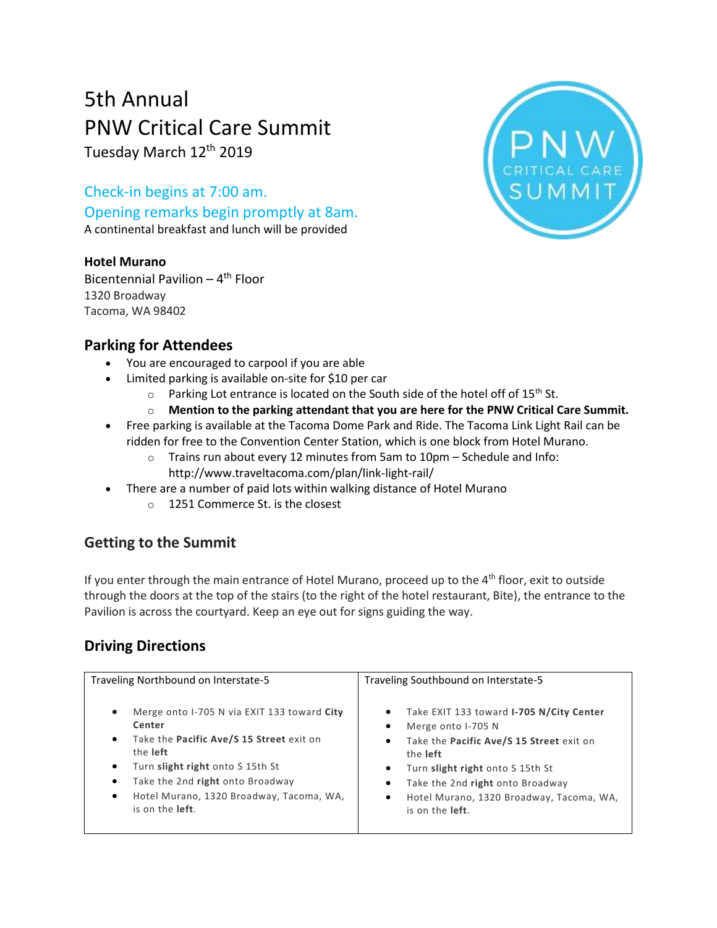# 5th Annual PNW Critical Care Summit

Tuesday March 12<sup>th</sup> 2019

Check-in begins at 7:00 am. Opening remarks begin promptly at 8am. A continental breakfast and lunch will be provided

#### **Hotel Murano**

Bicentennial Pavilion - 4<sup>th</sup> Floor 1320 Broadway Tacoma, WA 98402

### **Parking for Attendees**

- You are encouraged to carpool if you are able
- Limited parking is available on-site for \$10 per car
	- $\circ$  Parking Lot entrance is located on the South side of the hotel off of 15<sup>th</sup> St.
	- o **Mention to the parking attendant that you are here for the PNW Critical Care Summit.**
- Free parking is available at the Tacoma Dome Park and Ride. The Tacoma Link Light Rail can be ridden for free to the Convention Center Station, which is one block from Hotel Murano.
	- $\circ$  Trains run about every 12 minutes from 5am to 10pm Schedule and Info: http://www.traveltacoma.com/plan/link-light-rail/
- There are a number of paid lots within walking distance of Hotel Murano
	- o 1251 Commerce St. is the closest

## **Getting to the Summit**

If you enter through the main entrance of Hotel Murano, proceed up to the 4<sup>th</sup> floor, exit to outside through the doors at the top of the stairs (to the right of the hotel restaurant, Bite), the entrance to the Pavilion is across the courtyard. Keep an eye out for signs guiding the way.

## **Driving Directions**

| Traveling Northbound on Interstate-5                                                                                                                                                                                                                                                     | Traveling Southbound on Interstate-5                                                                                                                                                                                                                                                                                        |
|------------------------------------------------------------------------------------------------------------------------------------------------------------------------------------------------------------------------------------------------------------------------------------------|-----------------------------------------------------------------------------------------------------------------------------------------------------------------------------------------------------------------------------------------------------------------------------------------------------------------------------|
| Merge onto I-705 N via EXIT 133 toward City<br>$\bullet$<br>Center<br>Take the Pacific Ave/S 15 Street exit on<br>٠<br>the left<br>Turn slight right onto S 15th St<br>٠<br>Take the 2nd right onto Broadway<br>Hotel Murano, 1320 Broadway, Tacoma, WA,<br>٠<br>is on the <b>left</b> . | Take EXIT 133 toward I-705 N/City Center<br>$\bullet$<br>Merge onto I-705 N<br>٠<br>Take the Pacific Ave/S 15 Street exit on<br>$\bullet$<br>the left<br>Turn slight right onto S 15th St<br>$\bullet$<br>Take the 2nd right onto Broadway<br>٠<br>Hotel Murano, 1320 Broadway, Tacoma, WA,<br>٠<br>is on the <b>left</b> . |

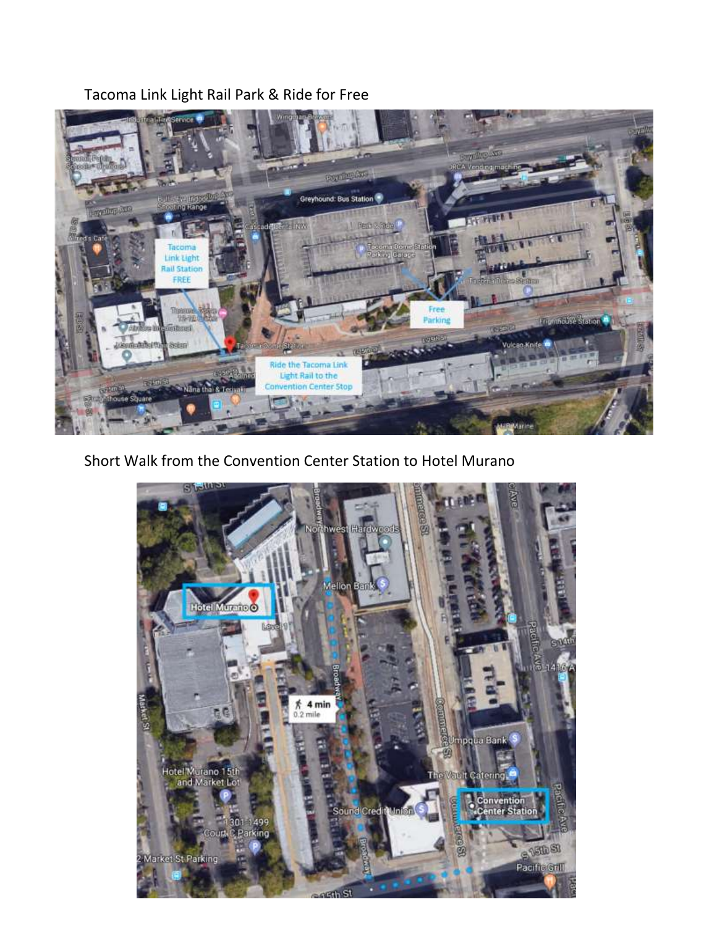Tacoma Link Light Rail Park & Ride for Free



Short Walk from the Convention Center Station to Hotel Murano